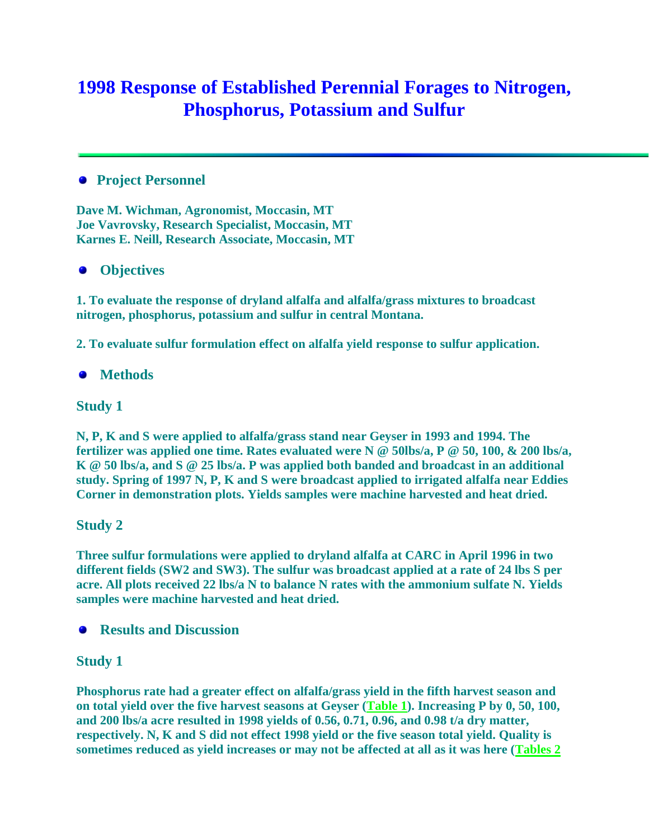# **1998 Response of Established Perennial Forages to Nitrogen, Phosphorus, Potassium and Sulfur**

## **Project Personnel**

**Dave M. Wichman, Agronomist, Moccasin, MT Joe Vavrovsky, Research Specialist, Moccasin, MT Karnes E. Neill, Research Associate, Moccasin, MT** 

## **Objectives**

**1. To evaluate the response of dryland alfalfa and alfalfa/grass mixtures to broadcast nitrogen, phosphorus, potassium and sulfur in central Montana.**

**2. To evaluate sulfur formulation effect on alfalfa yield response to sulfur application.**

## **Methods**

### **Study 1**

**N, P, K and S were applied to alfalfa/grass stand near Geyser in 1993 and 1994. The fertilizer was applied one time. Rates evaluated were N @ 50lbs/a, P @ 50, 100, & 200 lbs/a, K @ 50 lbs/a, and S @ 25 lbs/a. P was applied both banded and broadcast in an additional study. Spring of 1997 N, P, K and S were broadcast applied to irrigated alfalfa near Eddies Corner in demonstration plots. Yields samples were machine harvested and heat dried.**

### **Study 2**

**Three sulfur formulations were applied to dryland alfalfa at CARC in April 1996 in two different fields (SW2 and SW3). The sulfur was broadcast applied at a rate of 24 lbs S per acre. All plots received 22 lbs/a N to balance N rates with the ammonium sulfate N. Yields samples were machine harvested and heat dried.**

**• Results and Discussion** 

### **Study 1**

**Phosphorus rate had a greater effect on alfalfa/grass yield in the fifth harvest season and on total yield over the five harvest seasons at Geyser [\(Table 1\)](http://ag.montana.edu/carc/Forages/1998/98perforagerespnpks.htm#1998 and five-year alfalfa yield). Increasing P by 0, 50, 100, and 200 lbs/a acre resulted in 1998 yields of 0.56, 0.71, 0.96, and 0.98 t/a dry matter, respectively. N, K and S did not effect 1998 yield or the five season total yield. Quality is sometimes reduced as yield increases or may not be affected at all as it was here [\(Tables 2](http://ag.montana.edu/carc/Forages/1998/98perforagerespnpks.htm#1998 Alfalfa quality response)**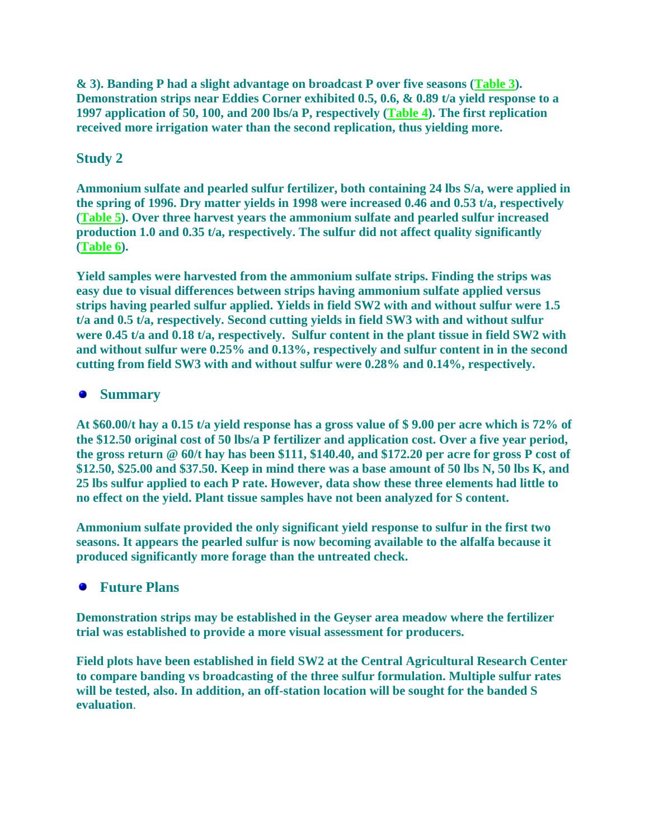**& 3). Banding P had a slight advantage on broadcast P over five seasons [\(Table 3\)](http://ag.montana.edu/carc/Forages/1998/98perforagerespnpks.htm#alfalfa yield response to phosphorus fertilizer). Demonstration strips near Eddies Corner exhibited 0.5, 0.6, & 0.89 t/a yield response to a 1997 application of 50, 100, and 200 lbs/a P, respectively [\(Table 4\)](http://ag.montana.edu/carc/Forages/1998/98perforagerespnpks.htm#Irrigated alfalfa yield response). The first replication received more irrigation water than the second replication, thus yielding more.**

## **Study 2**

**Ammonium sulfate and pearled sulfur fertilizer, both containing 24 lbs S/a, were applied in the spring of 1996. Dry matter yields in 1998 were increased 0.46 and 0.53 t/a, respectively [\(Table 5\)](http://ag.montana.edu/carc/Forages/1998/98alfalfaresptos.htm#1998 Dryland Alfalfa yield). Over three harvest years the ammonium sulfate and pearled sulfur increased production 1.0 and 0.35 t/a, respectively. The sulfur did not affect quality significantly [\(Table 6\)](http://ag.montana.edu/carc/Forages/1998/98alfalfaresptos.htm#1998 Dryland alfalfa quality response).**

**Yield samples were harvested from the ammonium sulfate strips. Finding the strips was easy due to visual differences between strips having ammonium sulfate applied versus strips having pearled sulfur applied. Yields in field SW2 with and without sulfur were 1.5 t/a and 0.5 t/a, respectively. Second cutting yields in field SW3 with and without sulfur were 0.45 t/a and 0.18 t/a, respectively. Sulfur content in the plant tissue in field SW2 with and without sulfur were 0.25% and 0.13%, respectively and sulfur content in in the second cutting from field SW3 with and without sulfur were 0.28% and 0.14%, respectively.** 

## **Summary**

**At \$60.00/t hay a 0.15 t/a yield response has a gross value of \$ 9.00 per acre which is 72% of the \$12.50 original cost of 50 lbs/a P fertilizer and application cost. Over a five year period, the gross return @ 60/t hay has been \$111, \$140.40, and \$172.20 per acre for gross P cost of \$12.50, \$25.00 and \$37.50. Keep in mind there was a base amount of 50 lbs N, 50 lbs K, and 25 lbs sulfur applied to each P rate. However, data show these three elements had little to no effect on the yield. Plant tissue samples have not been analyzed for S content.**

**Ammonium sulfate provided the only significant yield response to sulfur in the first two seasons. It appears the pearled sulfur is now becoming available to the alfalfa because it produced significantly more forage than the untreated check.**

## **Future Plans**

**Demonstration strips may be established in the Geyser area meadow where the fertilizer trial was established to provide a more visual assessment for producers.** 

**Field plots have been established in field SW2 at the Central Agricultural Research Center to compare banding vs broadcasting of the three sulfur formulation. Multiple sulfur rates will be tested, also. In addition, an off-station location will be sought for the banded S evaluation**.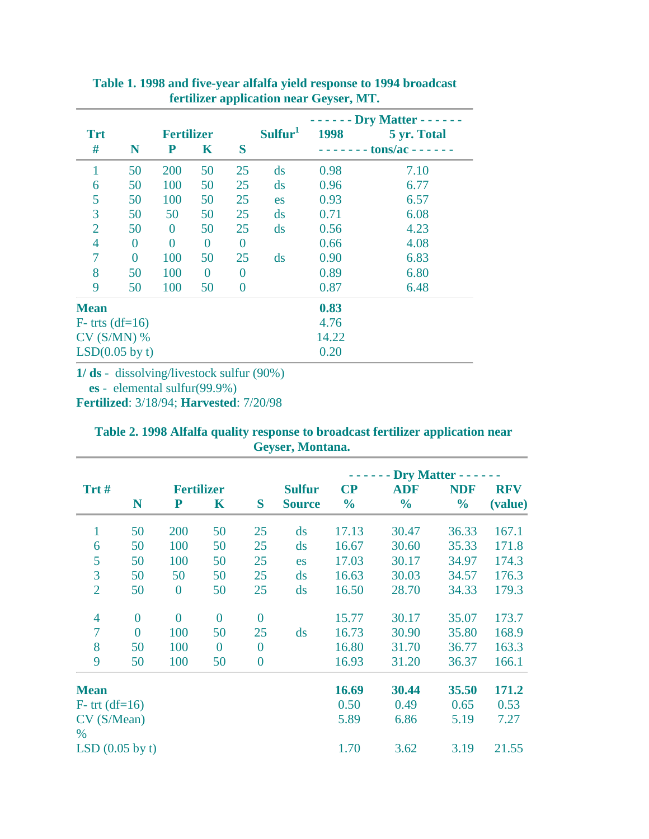| <b>Trt</b>        |                | <b>Fertilizer</b> |                |    | Sulfur <sup>1</sup>    | 1998                | - Dry Matter - - - - - -<br>5 yr. Total |  |  |
|-------------------|----------------|-------------------|----------------|----|------------------------|---------------------|-----------------------------------------|--|--|
| #                 | N              | ${\bf P}$         | $\mathbf K$    | S  |                        | $-$ tons/ac $    -$ |                                         |  |  |
|                   | 50             | 200               | 50             | 25 | ds                     | 0.98                | 7.10                                    |  |  |
| 6                 | 50             | 100               | 50             | 25 | $\mathrm{d}\mathbf{s}$ | 0.96                | 6.77                                    |  |  |
| 5                 | 50             | 100               | 50             | 25 | es                     | 0.93                | 6.57                                    |  |  |
| 3                 | 50             | 50                | 50             | 25 | ds                     | 0.71                | 6.08                                    |  |  |
| $\overline{2}$    | 50             | $\overline{0}$    | 50             | 25 | ds                     | 0.56                | 4.23                                    |  |  |
| $\overline{4}$    | $\overline{0}$ | 0                 | $\overline{0}$ | 0  |                        | 0.66                | 4.08                                    |  |  |
| 7                 | $\theta$       | 100               | 50             | 25 | ds                     | 0.90                | 6.83                                    |  |  |
| 8                 | 50             | 100               | $\Omega$       | 0  |                        | 0.89                | 6.80                                    |  |  |
| 9                 | 50             | 100               | 50             | 0  |                        | 0.87                | 6.48                                    |  |  |
| <b>Mean</b>       |                |                   |                |    |                        | 0.83                |                                         |  |  |
| $F-$ trts (df=16) |                |                   |                |    |                        | 4.76                |                                         |  |  |
| $CV(S/MN)$ %      |                |                   |                |    |                        | 14.22               |                                         |  |  |
| $LSD(0.05$ by t)  |                |                   |                |    |                        | 0.20                |                                         |  |  |

**Table 1. 1998 and five-year alfalfa yield response to 1994 broadcast fertilizer application near Geyser, MT.**

**1/ ds** - dissolving/livestock sulfur (90%)

**es** - elemental sulfur(99.9%)

**Fertilized**: 3/18/94; **Harvested**: 7/20/98

|  |  |                         |  | Table 2. 1998 Alfalfa quality response to broadcast fertilizer application near |  |
|--|--|-------------------------|--|---------------------------------------------------------------------------------|--|
|  |  | <b>Geyser, Montana.</b> |  |                                                                                 |  |

|                     |                |                   |                |                |                        | $\mathbf{Dry}$ Matter - - - - - - |               |               |            |  |  |
|---------------------|----------------|-------------------|----------------|----------------|------------------------|-----------------------------------|---------------|---------------|------------|--|--|
| Trt#                |                | <b>Fertilizer</b> |                |                | <b>Sulfur</b>          | $\bf CP$                          | <b>ADF</b>    | <b>NDF</b>    | <b>RFV</b> |  |  |
|                     | N              | ${\bf P}$         | $\mathbf K$    | S              | <b>Source</b>          | $\frac{0}{0}$                     | $\frac{1}{2}$ | $\frac{0}{0}$ | (value)    |  |  |
|                     | 50             | 200               | 50             | 25             | ds                     | 17.13                             | 30.47         | 36.33         | 167.1      |  |  |
| 6                   | 50             | 100               | 50             | 25             | $\mathrm{d}\mathbf{s}$ | 16.67                             | 30.60         | 35.33         | 171.8      |  |  |
| 5                   | 50             | 100               | 50             | 25             | es                     | 17.03                             | 30.17         | 34.97         | 174.3      |  |  |
| 3                   | 50             | 50                | 50             | 25             | $\mathrm{d}\mathbf{s}$ | 16.63                             | 30.03         | 34.57         | 176.3      |  |  |
| $\overline{2}$      | 50             | $\overline{0}$    | 50             | 25             | ds                     | 16.50                             | 28.70         | 34.33         | 179.3      |  |  |
| $\overline{4}$      | $\overline{0}$ | $\overline{0}$    | $\overline{0}$ | $\overline{0}$ |                        | 15.77                             | 30.17         | 35.07         | 173.7      |  |  |
| 7                   | $\overline{0}$ | 100               | 50             | 25             | $\mathrm{d}\mathbf{s}$ | 16.73                             | 30.90         | 35.80         | 168.9      |  |  |
| 8                   | 50             | 100               | $\theta$       | $\overline{0}$ |                        | 16.80                             | 31.70         | 36.77         | 163.3      |  |  |
| 9                   | 50             | 100               | 50             | $\overline{0}$ |                        | 16.93                             | 31.20         | 36.37         | 166.1      |  |  |
| <b>Mean</b>         |                |                   |                |                |                        | 16.69                             | 30.44         | 35.50         | 171.2      |  |  |
| $F-$ trt (df=16)    |                |                   |                |                | 0.50                   | 0.49                              | 0.65          | 0.53          |            |  |  |
| CV (S/Mean)<br>$\%$ |                |                   |                | 5.89           | 6.86                   | 5.19                              | 7.27          |               |            |  |  |
| LSD(0.05 by t)      |                |                   |                |                | 1.70                   | 3.62                              | 3.19          | 21.55         |            |  |  |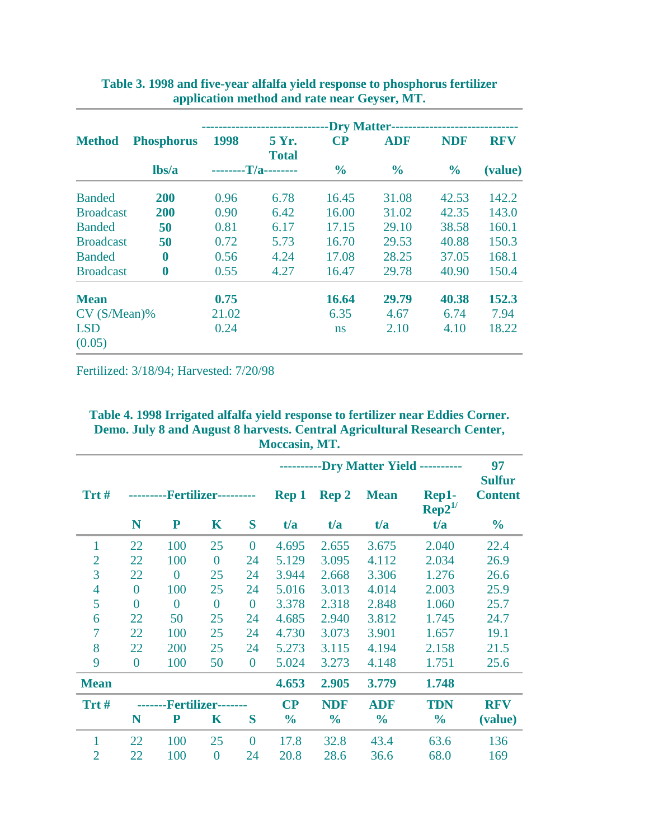|                      |                   | <b>-Dry Matter-</b> |                       |               |               |                             |                       |  |  |  |  |
|----------------------|-------------------|---------------------|-----------------------|---------------|---------------|-----------------------------|-----------------------|--|--|--|--|
| <b>Method</b>        | <b>Phosphorus</b> | 1998                | 5 Yr.<br><b>Total</b> | $\bf CP$      | <b>ADF</b>    | <b>NDF</b><br>$\frac{0}{0}$ | <b>RFV</b><br>(value) |  |  |  |  |
|                      | lbs/a             |                     | $-T/a$ ---------      | $\frac{6}{6}$ | $\frac{6}{9}$ |                             |                       |  |  |  |  |
| <b>Banded</b>        | 200               | 0.96                | 6.78                  | 16.45         | 31.08         | 42.53                       | 142.2                 |  |  |  |  |
| <b>Broadcast</b>     | 200               | 0.90                | 6.42                  | 16.00         | 31.02         | 42.35                       | 143.0                 |  |  |  |  |
| <b>Banded</b>        | 50                | 0.81                | 6.17                  | 17.15         | 29.10         | 38.58                       | 160.1                 |  |  |  |  |
| <b>Broadcast</b>     | 50                | 0.72                | 5.73                  | 16.70         | 29.53         | 40.88                       | 150.3                 |  |  |  |  |
| <b>Banded</b>        | 0                 | 0.56                | 4.24                  | 17.08         | 28.25         | 37.05                       | 168.1                 |  |  |  |  |
| <b>Broadcast</b>     | $\boldsymbol{0}$  | 0.55                | 4.27                  | 16.47         | 29.78         | 40.90                       | 150.4                 |  |  |  |  |
| <b>Mean</b>          |                   | 0.75                |                       | 16.64         | 29.79         | 40.38                       | 152.3                 |  |  |  |  |
| $CV(S/Mean)\%$       |                   | 21.02               |                       | 6.35          | 4.67          | 6.74                        | 7.94                  |  |  |  |  |
| <b>LSD</b><br>(0.05) |                   | 0.24                |                       | ns            | 2.10          | 4.10                        | 18.22                 |  |  |  |  |

#### **Table 3. 1998 and five-year alfalfa yield response to phosphorus fertilizer application method and rate near Geyser, MT.**

Fertilized: 3/18/94; Harvested: 7/20/98

**Table 4. 1998 Irrigated alfalfa yield response to fertilizer near Eddies Corner. Demo. July 8 and August 8 harvests. Central Agricultural Research Center, Moccasin, MT.**

|                |                |                       |                  |                  |               | 97<br><b>Sulfur</b> |               |                                |                |
|----------------|----------------|-----------------------|------------------|------------------|---------------|---------------------|---------------|--------------------------------|----------------|
| Trt#           |                | --Fertilizer--------- |                  |                  | <b>Rep 1</b>  | <b>Rep 2</b>        | <b>Mean</b>   | Rep1-<br>$\mathrm{Rep2}^{1/2}$ | <b>Content</b> |
|                | N              | P                     | K                | S                | t/a           | t/a                 | t/a           | t/a                            | $\frac{0}{0}$  |
| 1              | 22             | 100                   | 25               | $\overline{0}$   | 4.695         | 2.655               | 3.675         | 2.040                          | 22.4           |
| $\overline{2}$ | 22             | 100                   | $\overline{0}$   | 24               | 5.129         | 3.095               | 4.112         | 2.034                          | 26.9           |
| 3              | 22             | $\overline{0}$        | 25               | 24               | 3.944         | 2.668               | 3.306         | 1.276                          | 26.6           |
| $\overline{4}$ | $\overline{0}$ | 100                   | 25               | 24               | 5.016         | 3.013               | 4.014         | 2.003                          | 25.9           |
| 5              | $\overline{0}$ | $\theta$              | $\overline{0}$   | $\overline{0}$   | 3.378         | 2.318               | 2.848         | 1.060                          | 25.7           |
| 6              | 22             | 50                    | 25               | 24               | 4.685         | 2.940               | 3.812         | 1.745                          | 24.7           |
| 7              | 22             | 100                   | 25               | 24               | 4.730         | 3.073               | 3.901         | 1.657                          | 19.1           |
| 8              | 22             | 200                   | 25               | 24               | 5.273         | 3.115               | 4.194         | 2.158                          | 21.5           |
| 9              | $\overline{0}$ | 100                   | 50               | $\boldsymbol{0}$ | 5.024         | 3.273               | 4.148         | 1.751                          | 25.6           |
| <b>Mean</b>    |                |                       |                  |                  | 4.653         | 2.905               | 3.779         | 1.748                          |                |
| Trt#           |                | <b>Fertilizer-</b>    |                  |                  |               | <b>NDF</b>          | <b>ADF</b>    | <b>TDN</b>                     | <b>RFV</b>     |
|                | N              | $\mathbf P$           | K                | S                | $\frac{1}{2}$ | $\frac{0}{0}$       | $\frac{0}{0}$ | $\frac{0}{0}$                  | (value)        |
| 1              | 22             | 100                   | 25               | $\overline{0}$   | 17.8          | 32.8                | 43.4          | 63.6                           | 136            |
| $\overline{2}$ | 22             | 100                   | $\boldsymbol{0}$ | 24               | 20.8          | 28.6                | 36.6          | 68.0                           | 169            |